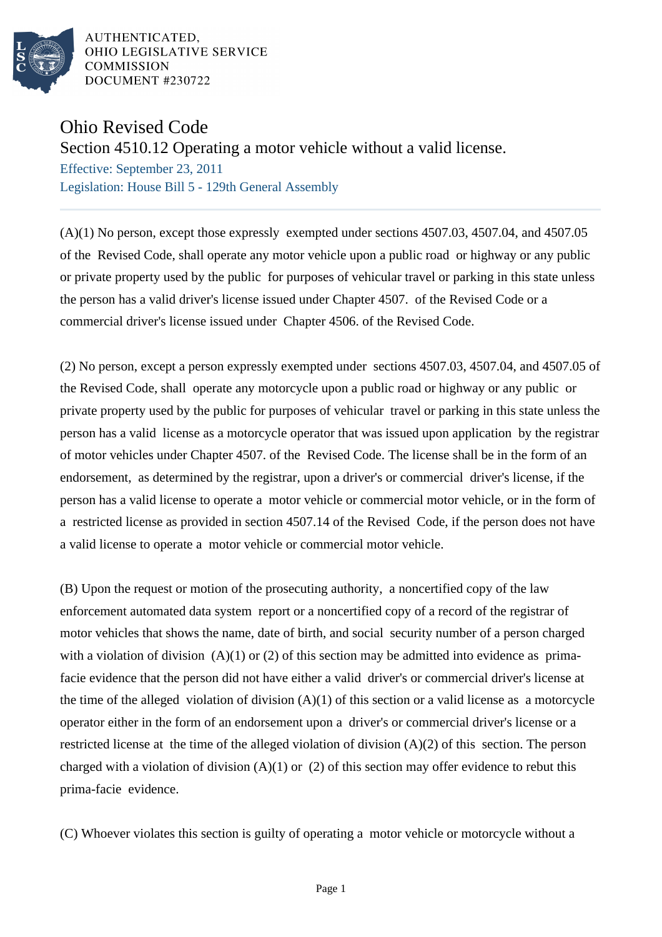

AUTHENTICATED. OHIO LEGISLATIVE SERVICE **COMMISSION** DOCUMENT #230722

## Ohio Revised Code

## Section 4510.12 Operating a motor vehicle without a valid license.

Effective: September 23, 2011 Legislation: House Bill 5 - 129th General Assembly

(A)(1) No person, except those expressly exempted under sections 4507.03, 4507.04, and 4507.05 of the Revised Code, shall operate any motor vehicle upon a public road or highway or any public or private property used by the public for purposes of vehicular travel or parking in this state unless the person has a valid driver's license issued under Chapter 4507. of the Revised Code or a commercial driver's license issued under Chapter 4506. of the Revised Code.

(2) No person, except a person expressly exempted under sections 4507.03, 4507.04, and 4507.05 of the Revised Code, shall operate any motorcycle upon a public road or highway or any public or private property used by the public for purposes of vehicular travel or parking in this state unless the person has a valid license as a motorcycle operator that was issued upon application by the registrar of motor vehicles under Chapter 4507. of the Revised Code. The license shall be in the form of an endorsement, as determined by the registrar, upon a driver's or commercial driver's license, if the person has a valid license to operate a motor vehicle or commercial motor vehicle, or in the form of a restricted license as provided in section 4507.14 of the Revised Code, if the person does not have a valid license to operate a motor vehicle or commercial motor vehicle.

(B) Upon the request or motion of the prosecuting authority, a noncertified copy of the law enforcement automated data system report or a noncertified copy of a record of the registrar of motor vehicles that shows the name, date of birth, and social security number of a person charged with a violation of division  $(A)(1)$  or  $(2)$  of this section may be admitted into evidence as primafacie evidence that the person did not have either a valid driver's or commercial driver's license at the time of the alleged violation of division  $(A)(1)$  of this section or a valid license as a motorcycle operator either in the form of an endorsement upon a driver's or commercial driver's license or a restricted license at the time of the alleged violation of division (A)(2) of this section. The person charged with a violation of division  $(A)(1)$  or  $(2)$  of this section may offer evidence to rebut this prima-facie evidence.

(C) Whoever violates this section is guilty of operating a motor vehicle or motorcycle without a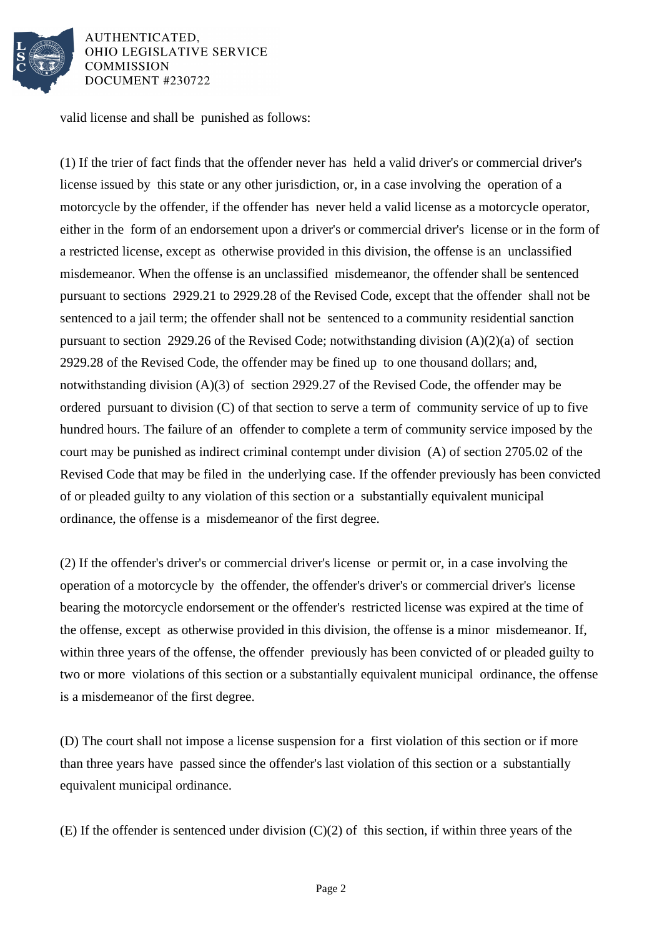

AUTHENTICATED. **OHIO LEGISLATIVE SERVICE COMMISSION** DOCUMENT #230722

valid license and shall be punished as follows:

(1) If the trier of fact finds that the offender never has held a valid driver's or commercial driver's license issued by this state or any other jurisdiction, or, in a case involving the operation of a motorcycle by the offender, if the offender has never held a valid license as a motorcycle operator, either in the form of an endorsement upon a driver's or commercial driver's license or in the form of a restricted license, except as otherwise provided in this division, the offense is an unclassified misdemeanor. When the offense is an unclassified misdemeanor, the offender shall be sentenced pursuant to sections 2929.21 to 2929.28 of the Revised Code, except that the offender shall not be sentenced to a jail term; the offender shall not be sentenced to a community residential sanction pursuant to section 2929.26 of the Revised Code; notwithstanding division (A)(2)(a) of section 2929.28 of the Revised Code, the offender may be fined up to one thousand dollars; and, notwithstanding division (A)(3) of section 2929.27 of the Revised Code, the offender may be ordered pursuant to division (C) of that section to serve a term of community service of up to five hundred hours. The failure of an offender to complete a term of community service imposed by the court may be punished as indirect criminal contempt under division (A) of section 2705.02 of the Revised Code that may be filed in the underlying case. If the offender previously has been convicted of or pleaded guilty to any violation of this section or a substantially equivalent municipal ordinance, the offense is a misdemeanor of the first degree.

(2) If the offender's driver's or commercial driver's license or permit or, in a case involving the operation of a motorcycle by the offender, the offender's driver's or commercial driver's license bearing the motorcycle endorsement or the offender's restricted license was expired at the time of the offense, except as otherwise provided in this division, the offense is a minor misdemeanor. If, within three years of the offense, the offender previously has been convicted of or pleaded guilty to two or more violations of this section or a substantially equivalent municipal ordinance, the offense is a misdemeanor of the first degree.

(D) The court shall not impose a license suspension for a first violation of this section or if more than three years have passed since the offender's last violation of this section or a substantially equivalent municipal ordinance.

(E) If the offender is sentenced under division (C)(2) of this section, if within three years of the